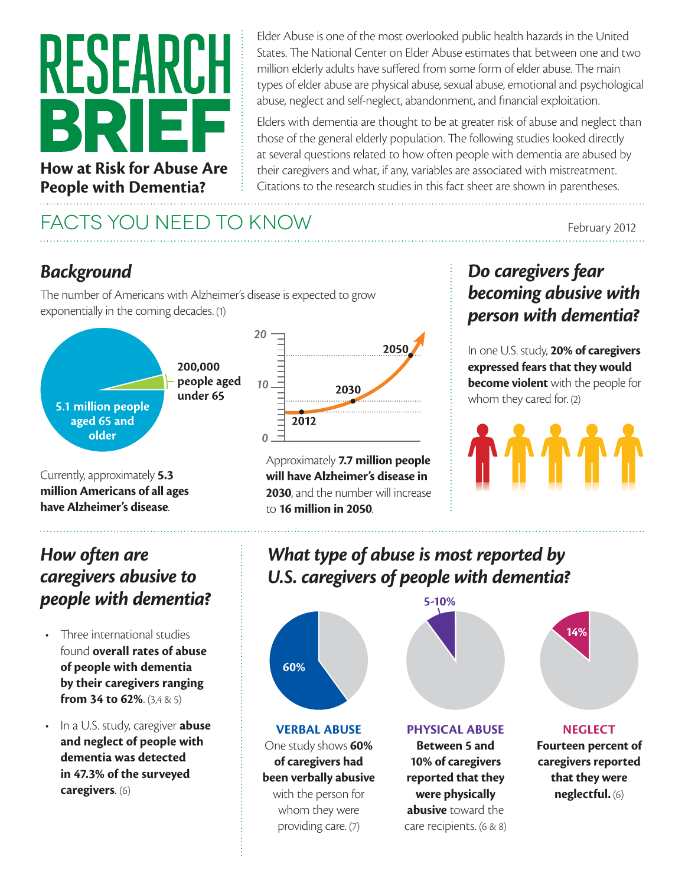# RESEAR **How at Risk for Abuse Are**

**People with Dementia?**

Elder Abuse is one of the most overlooked public health hazards in the United States. The National Center on Elder Abuse estimates that between one and two million elderly adults have suffered from some form of elder abuse. The main types of elder abuse are physical abuse, sexual abuse, emotional and psychological abuse, neglect and self-neglect, abandonment, and financial exploitation.

Elders with dementia are thought to be at greater risk of abuse and neglect than those of the general elderly population. The following studies looked directly at several questions related to how often people with dementia are abused by their caregivers and what, if any, variables are associated with mistreatment. Citations to the research studies in this fact sheet are shown in parentheses.

## FACTS YOU NEED TO KNOW February 2012

#### *Background*

The number of Americans with Alzheimer's disease is expected to grow exponentially in the coming decades. (1)



**will have Alzheimer's disease in 2030**, and the number will increase to **16 million in 2050**.

#### *Do caregivers fear becoming abusive with person with dementia?*

In one U.S. study, **20% of caregivers expressed fears that they would become violent** with the people for whom they cared for. (2)

#### *How often are caregivers abusive to people with dementia?*

Currently, approximately **5.3 million Americans of all ages have Alzheimer's disease**.

- Three international studies found **overall rates of abuse of people with dementia by their caregivers ranging from 34 to 62%**. (3,4 & 5)
- In a U.S. study, caregiver **abuse and neglect of people with dementia was detected in 47.3% of the surveyed caregivers**. (6)

### *What type of abuse is most reported by U.S. caregivers of people with dementia?*